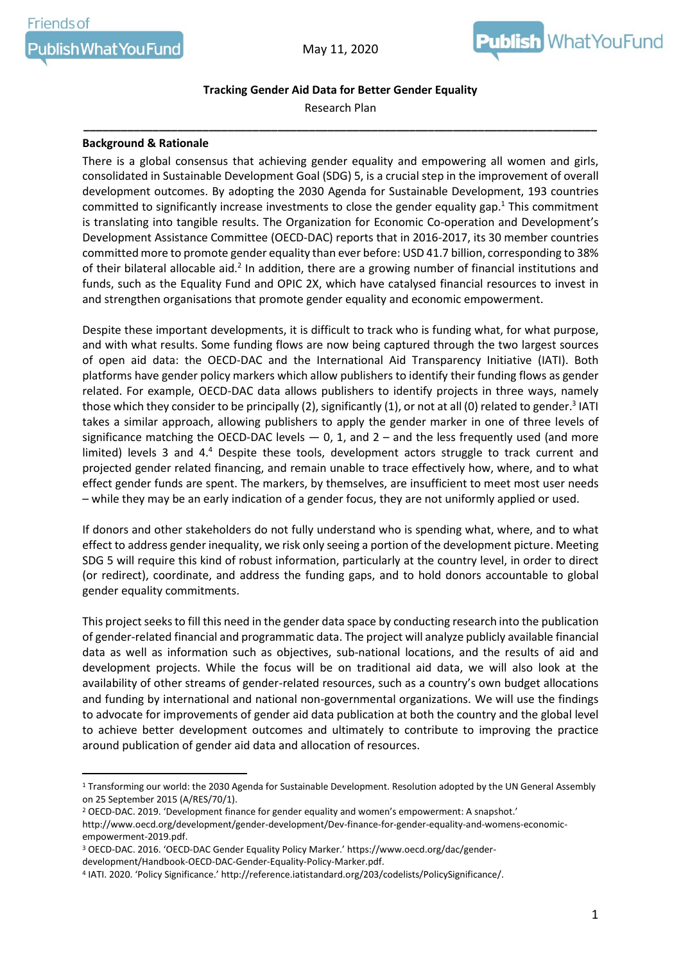1



#### **Tracking Gender Aid Data for Better Gender Equality**

Research Plan **\_\_\_\_\_\_\_\_\_\_\_\_\_\_\_\_\_\_\_\_\_\_\_\_\_\_\_\_\_\_\_\_\_\_\_\_\_\_\_\_\_\_\_\_\_\_\_\_\_\_\_\_\_\_\_\_\_\_\_\_\_\_\_\_\_\_\_\_\_\_\_\_\_\_\_\_\_\_\_\_\_\_**

#### **Background & Rationale**

There is a global consensus that achieving gender equality and empowering all women and girls, consolidated in Sustainable Development Goal (SDG) 5, is a crucial step in the improvement of overall development outcomes. By adopting the 2030 Agenda for Sustainable Development, 193 countries committed to significantly increase investments to close the gender equality gap.<sup>1</sup> This commitment is translating into tangible results. The Organization for Economic Co-operation and Development's Development Assistance Committee (OECD-DAC) reports that in 2016-2017, its 30 member countries committed more to promote gender equality than ever before: USD 41.7 billion, corresponding to 38% of their bilateral allocable aid.<sup>2</sup> In addition, there are a growing number of financial institutions and funds, such as the Equality Fund and OPIC 2X, which have catalysed financial resources to invest in and strengthen organisations that promote gender equality and economic empowerment.

Despite these important developments, it is difficult to track who is funding what, for what purpose, and with what results. Some funding flows are now being captured through the two largest sources of open aid data: the OECD-DAC and the International Aid Transparency Initiative (IATI). Both platforms have gender policy markers which allow publishers to identify their funding flows as gender related. For example, OECD-DAC data allows publishers to identify projects in three ways, namely those which they consider to be principally (2), significantly (1), or not at all (0) related to gender.<sup>3</sup> IATI takes a similar approach, allowing publishers to apply the gender marker in one of three levels of significance matching the OECD-DAC levels  $-$  0, 1, and  $2$  – and the less frequently used (and more limited) levels 3 and 4.<sup>4</sup> Despite these tools, development actors struggle to track current and projected gender related financing, and remain unable to trace effectively how, where, and to what effect gender funds are spent. The markers, by themselves, are insufficient to meet most user needs – while they may be an early indication of a gender focus, they are not uniformly applied or used.

If donors and other stakeholders do not fully understand who is spending what, where, and to what effect to address gender inequality, we risk only seeing a portion of the development picture. Meeting SDG 5 will require this kind of robust information, particularly at the country level, in order to direct (or redirect), coordinate, and address the funding gaps, and to hold donors accountable to global gender equality commitments.

This project seeks to fill this need in the gender data space by conducting research into the publication of gender-related financial and programmatic data. The project will analyze publicly available financial data as well as information such as objectives, sub-national locations, and the results of aid and development projects. While the focus will be on traditional aid data, we will also look at the availability of other streams of gender-related resources, such as a country's own budget allocations and funding by international and national non-governmental organizations. We will use the findings to advocate for improvements of gender aid data publication at both the country and the global level to achieve better development outcomes and ultimately to contribute to improving the practice around publication of gender aid data and allocation of resources.

<sup>1</sup> Transforming our world: the 2030 Agenda for Sustainable Development. Resolution adopted by the UN General Assembly on 25 September 2015 (A/RES/70/1).

<sup>2</sup> OECD-DAC. 2019. 'Development finance for gender equality and women's empowerment: A snapshot.'

http://www.oecd.org/development/gender-development/Dev-finance-for-gender-equality-and-womens-economicempowerment-2019.pdf.

<sup>3</sup> OECD-DAC. 2016. 'OECD-DAC Gender Equality Policy Marker.' https://www.oecd.org/dac/gender-

development/Handbook-OECD-DAC-Gender-Equality-Policy-Marker.pdf.

<sup>4</sup> IATI. 2020. 'Policy Significance.' http://reference.iatistandard.org/203/codelists/PolicySignificance/.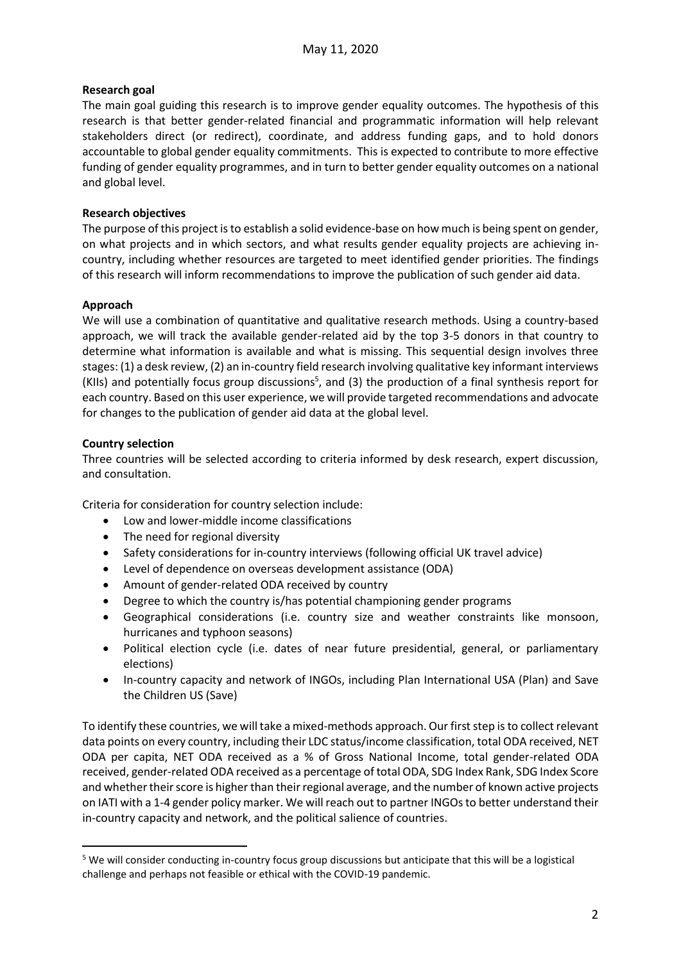## **Research goal**

The main goal guiding this research is to improve gender equality outcomes. The hypothesis of this research is that better gender-related financial and programmatic information will help relevant stakeholders direct (or redirect), coordinate, and address funding gaps, and to hold donors accountable to global gender equality commitments. This is expected to contribute to more effective funding of gender equality programmes, and in turn to better gender equality outcomes on a national and global level.

## **Research objectives**

The purpose of this project is to establish a solid evidence-base on how much is being spent on gender, on what projects and in which sectors, and what results gender equality projects are achieving incountry, including whether resources are targeted to meet identified gender priorities. The findings of this research will inform recommendations to improve the publication of such gender aid data.

### **Approach**

We will use a combination of quantitative and qualitative research methods. Using a country-based approach, we will track the available gender-related aid by the top 3-5 donors in that country to determine what information is available and what is missing. This sequential design involves three stages: (1) a desk review, (2) an in-country field research involving qualitative key informant interviews (KIIs) and potentially focus group discussions<sup>5</sup>, and (3) the production of a final synthesis report for each country. Based on this user experience, we will provide targeted recommendations and advocate for changes to the publication of gender aid data at the global level.

# **Country selection**

<u>.</u>

Three countries will be selected according to criteria informed by desk research, expert discussion, and consultation.

Criteria for consideration for country selection include:

- Low and lower-middle income classifications
- The need for regional diversity
- Safety considerations for in-country interviews (following official UK travel advice)
- Level of dependence on overseas development assistance (ODA)
- Amount of gender-related ODA received by country
- Degree to which the country is/has potential championing gender programs
- Geographical considerations (i.e. country size and weather constraints like monsoon, hurricanes and typhoon seasons)
- Political election cycle (i.e. dates of near future presidential, general, or parliamentary elections)
- In-country capacity and network of INGOs, including Plan International USA (Plan) and Save the Children US (Save)

To identify these countries, we will take a mixed-methods approach. Our first step isto collect relevant data points on every country, including their LDC status/income classification, total ODA received, NET ODA per capita, NET ODA received as a % of Gross National Income, total gender-related ODA received, gender-related ODA received as a percentage of total ODA, SDG Index Rank, SDG Index Score and whether their score is higher than their regional average, and the number of known active projects on IATI with a 1-4 gender policy marker. We will reach out to partner INGOs to better understand their in-country capacity and network, and the political salience of countries.

<sup>5</sup> We will consider conducting in-country focus group discussions but anticipate that this will be a logistical challenge and perhaps not feasible or ethical with the COVID-19 pandemic.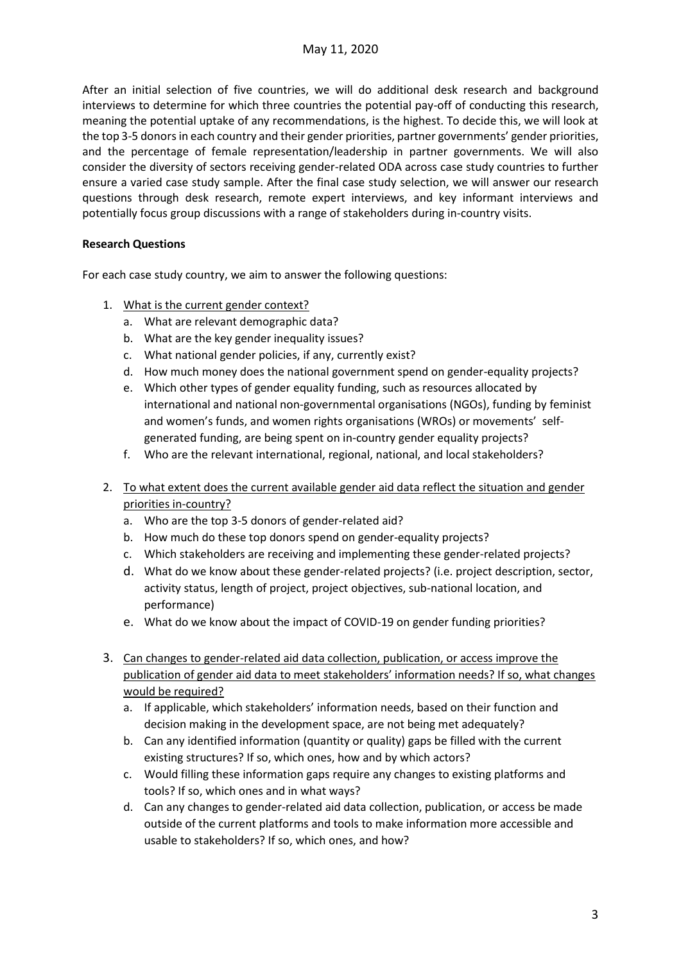# May 11, 2020

After an initial selection of five countries, we will do additional desk research and background interviews to determine for which three countries the potential pay-off of conducting this research, meaning the potential uptake of any recommendations, is the highest. To decide this, we will look at the top 3-5 donors in each country and their gender priorities, partner governments' gender priorities, and the percentage of female representation/leadership in partner governments. We will also consider the diversity of sectors receiving gender-related ODA across case study countries to further ensure a varied case study sample. After the final case study selection, we will answer our research questions through desk research, remote expert interviews, and key informant interviews and potentially focus group discussions with a range of stakeholders during in-country visits.

### **Research Questions**

For each case study country, we aim to answer the following questions:

- 1. What is the current gender context?
	- a. What are relevant demographic data?
	- b. What are the key gender inequality issues?
	- c. What national gender policies, if any, currently exist?
	- d. How much money does the national government spend on gender-equality projects?
	- e. Which other types of gender equality funding, such as resources allocated by international and national non-governmental organisations (NGOs), funding by feminist and women's funds, and women rights organisations (WROs) or movements' selfgenerated funding, are being spent on in-country gender equality projects?
	- f. Who are the relevant international, regional, national, and local stakeholders?
- 2. To what extent does the current available gender aid data reflect the situation and gender priorities in-country?
	- a. Who are the top 3-5 donors of gender-related aid?
	- b. How much do these top donors spend on gender-equality projects?
	- c. Which stakeholders are receiving and implementing these gender-related projects?
	- d. What do we know about these gender-related projects? (i.e. project description, sector, activity status, length of project, project objectives, sub-national location, and performance)
	- e. What do we know about the impact of COVID-19 on gender funding priorities?
- 3. Can changes to gender-related aid data collection, publication, or access improve the publication of gender aid data to meet stakeholders' information needs? If so, what changes would be required?
	- a. If applicable, which stakeholders' information needs, based on their function and decision making in the development space, are not being met adequately?
	- b. Can any identified information (quantity or quality) gaps be filled with the current existing structures? If so, which ones, how and by which actors?
	- c. Would filling these information gaps require any changes to existing platforms and tools? If so, which ones and in what ways?
	- d. Can any changes to gender-related aid data collection, publication, or access be made outside of the current platforms and tools to make information more accessible and usable to stakeholders? If so, which ones, and how?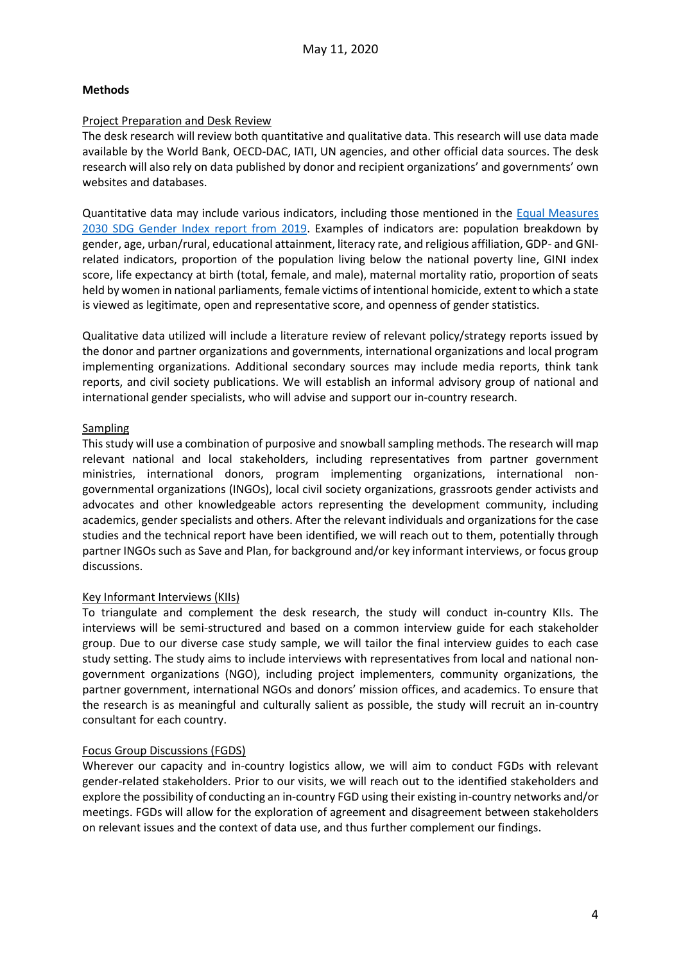### **Methods**

### Project Preparation and Desk Review

The desk research will review both quantitative and qualitative data. This research will use data made available by the World Bank, OECD-DAC, IATI, UN agencies, and other official data sources. The desk research will also rely on data published by donor and recipient organizations' and governments' own websites and databases.

Quantitative data may include various indicators, including those mentioned in the [Equal Measures](https://www.equalmeasures2030.org/wp-content/uploads/2019/07/EM2030_2019_Global_Report_English_WEB.pdf)  [2030 SDG Gender Index report from 2019.](https://www.equalmeasures2030.org/wp-content/uploads/2019/07/EM2030_2019_Global_Report_English_WEB.pdf) Examples of indicators are: population breakdown by gender, age, urban/rural, educational attainment, literacy rate, and religious affiliation, GDP- and GNIrelated indicators, proportion of the population living below the national poverty line, GINI index score, life expectancy at birth (total, female, and male), maternal mortality ratio, proportion of seats held by women in national parliaments, female victims of intentional homicide, extent to which a state is viewed as legitimate, open and representative score, and openness of gender statistics.

Qualitative data utilized will include a literature review of relevant policy/strategy reports issued by the donor and partner organizations and governments, international organizations and local program implementing organizations. Additional secondary sources may include media reports, think tank reports, and civil society publications. We will establish an informal advisory group of national and international gender specialists, who will advise and support our in-country research.

### Sampling

This study will use a combination of purposive and snowball sampling methods. The research will map relevant national and local stakeholders, including representatives from partner government ministries, international donors, program implementing organizations, international nongovernmental organizations (INGOs), local civil society organizations, grassroots gender activists and advocates and other knowledgeable actors representing the development community, including academics, gender specialists and others. After the relevant individuals and organizations for the case studies and the technical report have been identified, we will reach out to them, potentially through partner INGOs such as Save and Plan, for background and/or key informant interviews, or focus group discussions.

### Key Informant Interviews (KIIs)

To triangulate and complement the desk research, the study will conduct in-country KIIs. The interviews will be semi-structured and based on a common interview guide for each stakeholder group. Due to our diverse case study sample, we will tailor the final interview guides to each case study setting. The study aims to include interviews with representatives from local and national nongovernment organizations (NGO), including project implementers, community organizations, the partner government, international NGOs and donors' mission offices, and academics. To ensure that the research is as meaningful and culturally salient as possible, the study will recruit an in-country consultant for each country.

#### Focus Group Discussions (FGDS)

Wherever our capacity and in-country logistics allow, we will aim to conduct FGDs with relevant gender-related stakeholders. Prior to our visits, we will reach out to the identified stakeholders and explore the possibility of conducting an in-country FGD using their existing in-country networks and/or meetings. FGDs will allow for the exploration of agreement and disagreement between stakeholders on relevant issues and the context of data use, and thus further complement our findings.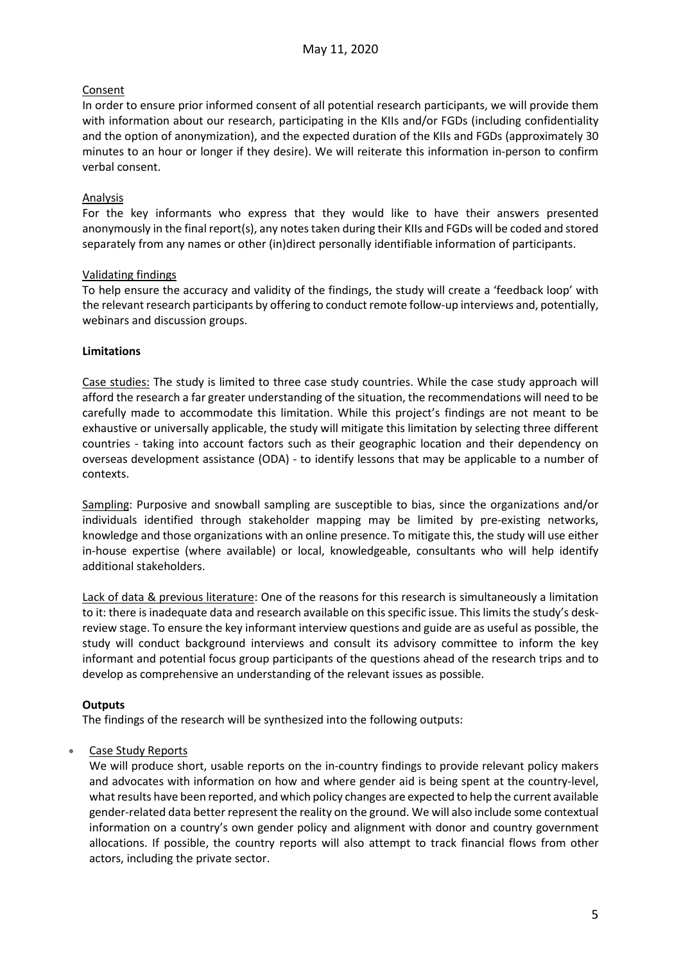## Consent

In order to ensure prior informed consent of all potential research participants, we will provide them with information about our research, participating in the KIIs and/or FGDs (including confidentiality and the option of anonymization), and the expected duration of the KIIs and FGDs (approximately 30 minutes to an hour or longer if they desire). We will reiterate this information in-person to confirm verbal consent.

## Analysis

For the key informants who express that they would like to have their answers presented anonymously in the final report(s), any notestaken during their KIIs and FGDs will be coded and stored separately from any names or other (in)direct personally identifiable information of participants.

### Validating findings

To help ensure the accuracy and validity of the findings, the study will create a 'feedback loop' with the relevant research participants by offering to conduct remote follow-up interviews and, potentially, webinars and discussion groups.

### **Limitations**

Case studies: The study is limited to three case study countries. While the case study approach will afford the research a far greater understanding of the situation, the recommendations will need to be carefully made to accommodate this limitation. While this project's findings are not meant to be exhaustive or universally applicable, the study will mitigate this limitation by selecting three different countries - taking into account factors such as their geographic location and their dependency on overseas development assistance (ODA) - to identify lessons that may be applicable to a number of contexts.

Sampling: Purposive and snowball sampling are susceptible to bias, since the organizations and/or individuals identified through stakeholder mapping may be limited by pre-existing networks, knowledge and those organizations with an online presence. To mitigate this, the study will use either in-house expertise (where available) or local, knowledgeable, consultants who will help identify additional stakeholders.

Lack of data & previous literature: One of the reasons for this research is simultaneously a limitation to it: there is inadequate data and research available on this specific issue. This limits the study's deskreview stage. To ensure the key informant interview questions and guide are as useful as possible, the study will conduct background interviews and consult its advisory committee to inform the key informant and potential focus group participants of the questions ahead of the research trips and to develop as comprehensive an understanding of the relevant issues as possible.

### **Outputs**

The findings of the research will be synthesized into the following outputs:

### Case Study Reports

We will produce short, usable reports on the in-country findings to provide relevant policy makers and advocates with information on how and where gender aid is being spent at the country-level, what results have been reported, and which policy changes are expected to help the current available gender-related data better represent the reality on the ground. We will also include some contextual information on a country's own gender policy and alignment with donor and country government allocations. If possible, the country reports will also attempt to track financial flows from other actors, including the private sector.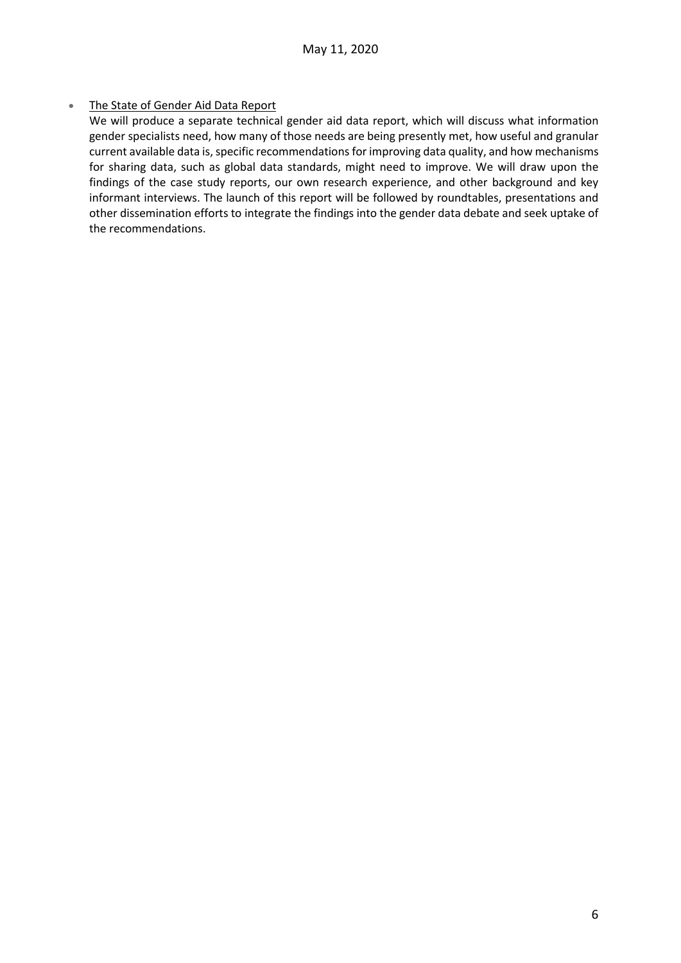# • The State of Gender Aid Data Report

We will produce a separate technical gender aid data report, which will discuss what information gender specialists need, how many of those needs are being presently met, how useful and granular current available data is, specific recommendations for improving data quality, and how mechanisms for sharing data, such as global data standards, might need to improve. We will draw upon the findings of the case study reports, our own research experience, and other background and key informant interviews. The launch of this report will be followed by roundtables, presentations and other dissemination efforts to integrate the findings into the gender data debate and seek uptake of the recommendations.